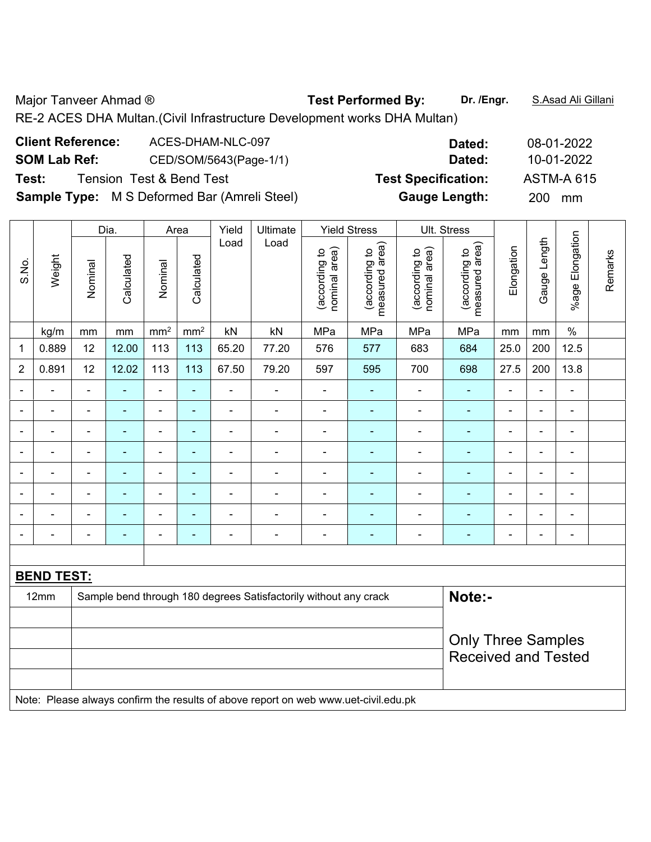## Major Tanveer Ahmad ® **Test Performed By:** Dr. /Engr. **S.Asad Ali Gillani**

Received and Tested

RE-2 ACES DHA Multan.(Civil Infrastructure Development works DHA Multan)

| <b>Client Reference:</b> | ACES-DHAM-NLC-097                                   | Dated:                     | 08-01-2022        |
|--------------------------|-----------------------------------------------------|----------------------------|-------------------|
| <b>SOM Lab Ref:</b>      | CED/SOM/5643(Page-1/1)                              | Dated:                     | 10-01-2022        |
| Test:                    | <b>Tension Test &amp; Bend Test</b>                 | <b>Test Specification:</b> | <b>ASTM-A 615</b> |
|                          | <b>Sample Type:</b> M S Deformed Bar (Amreli Steel) | <b>Gauge Length:</b>       | 200 mm            |

|                |                   |                | Dia.                     |                          | Area                     | Yield                                                            | Ultimate                 |                                | <b>Yield Stress</b>             |                                | Ult. Stress                        |                           |                |                          |         |
|----------------|-------------------|----------------|--------------------------|--------------------------|--------------------------|------------------------------------------------------------------|--------------------------|--------------------------------|---------------------------------|--------------------------------|------------------------------------|---------------------------|----------------|--------------------------|---------|
| S.No.          | Weight            | Nominal        | Calculated               | Nominal                  | Calculated               | Load                                                             | Load                     | nominal area)<br>(according to | measured area)<br>(according to | (according to<br>nominal area) | area)<br>(according to<br>measured | Elongation                | Gauge Length   | %age Elongation          | Remarks |
|                | kg/m              | mm             | mm                       | $\rm mm^2$               | $\text{mm}^2$            | kN                                                               | kN                       | MPa                            | MPa                             | MPa                            | MPa                                | mm                        | mm             | $\%$                     |         |
| 1              | 0.889             | 12             | 12.00                    | 113                      | 113                      | 65.20                                                            | 77.20                    | 576                            | 577                             | 683                            | 684                                | 25.0                      | 200            | 12.5                     |         |
| $\overline{2}$ | 0.891             | 12             | 12.02                    | 113                      | 113                      | 67.50                                                            | 79.20                    | 597                            | 595                             | 700                            | 698                                | 27.5                      | 200            | 13.8                     |         |
|                | $\blacksquare$    | $\blacksquare$ | $\blacksquare$           | $\overline{\phantom{a}}$ | $\blacksquare$           | $\blacksquare$                                                   | $\overline{\phantom{a}}$ | $\blacksquare$                 | $\overline{\phantom{0}}$        |                                | $\blacksquare$                     | $\blacksquare$            | $\blacksquare$ | $\blacksquare$           |         |
|                | ÷                 |                |                          | ÷                        | ٠                        | $\blacksquare$                                                   | $\blacksquare$           |                                | ۰                               |                                |                                    | $\blacksquare$            | Ē,             |                          |         |
|                | ۰                 | $\blacksquare$ | $\blacksquare$           | ÷,                       | ٠                        | ۰                                                                | $\blacksquare$           | $\blacksquare$                 | ۰                               | $\blacksquare$                 | ٠                                  | $\blacksquare$            | $\blacksquare$ | $\blacksquare$           |         |
| $\blacksquare$ | $\blacksquare$    | $\blacksquare$ | $\overline{\phantom{0}}$ | $\overline{\phantom{a}}$ | $\blacksquare$           | $\blacksquare$                                                   | $\blacksquare$           | $\overline{a}$                 | ۰                               | $\blacksquare$                 | $\blacksquare$                     | $\blacksquare$            | $\overline{a}$ | $\overline{\phantom{a}}$ |         |
|                | -                 |                |                          | $\blacksquare$           | $\blacksquare$           | ۰                                                                | $\overline{\phantom{0}}$ |                                |                                 |                                |                                    | $\blacksquare$            | $\blacksquare$ | $\overline{\phantom{0}}$ |         |
|                | ۳                 |                |                          | ۰                        | $\overline{\phantom{0}}$ | $\blacksquare$                                                   | ÷                        |                                |                                 |                                |                                    |                           | ä,             |                          |         |
|                |                   |                |                          | $\overline{a}$           | ÷                        |                                                                  | ۰                        |                                |                                 |                                |                                    |                           | ÷              | $\overline{\phantom{0}}$ |         |
|                |                   |                | $\blacksquare$           | $\blacksquare$           | ٠                        | $\overline{\phantom{0}}$                                         | $\blacksquare$           |                                | ۰                               | -                              | $\blacksquare$                     | $\blacksquare$            | L,             | $\overline{\phantom{a}}$ |         |
|                |                   |                |                          |                          |                          |                                                                  |                          |                                |                                 |                                |                                    |                           |                |                          |         |
|                | <b>BEND TEST:</b> |                |                          |                          |                          |                                                                  |                          |                                |                                 |                                |                                    |                           |                |                          |         |
|                | 12mm              |                |                          |                          |                          | Sample bend through 180 degrees Satisfactorily without any crack |                          | Note:-                         |                                 |                                |                                    |                           |                |                          |         |
|                |                   |                |                          |                          |                          |                                                                  |                          |                                |                                 |                                |                                    | <b>Only Three Samples</b> |                |                          |         |

Note: Please always confirm the results of above report on web www.uet-civil.edu.pk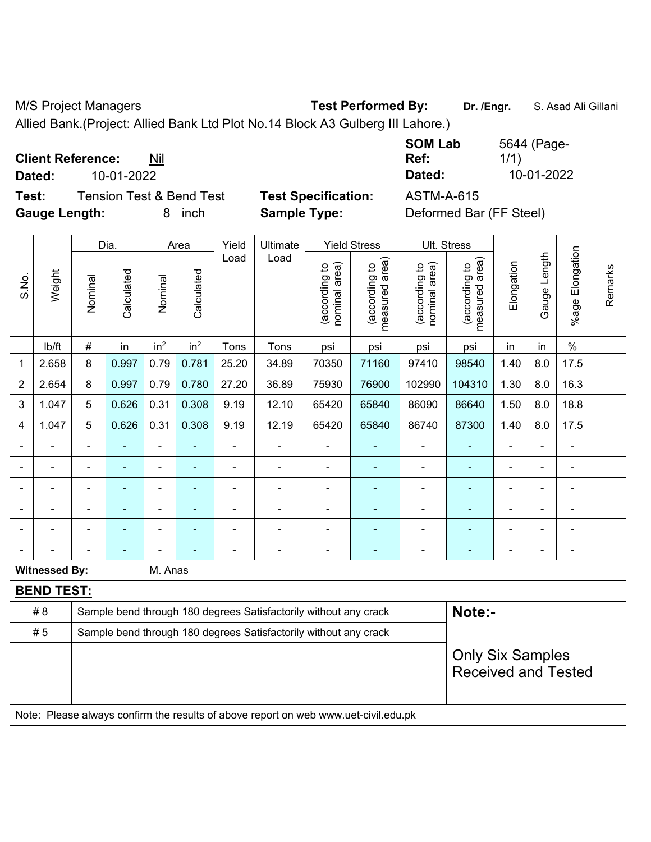M/S Project Managers **Test Performed By:** Dr. /Engr. **S. Asad Ali Gillani** Ali Gillani

Allied Bank.(Project: Allied Bank Ltd Plot No.14 Block A3 Gulberg III Lahore.)

**Client Reference:** Nil

**Test:** Tension Test & Bend Test **Test Specification:** ASTM-A-615 **Gauge Length:** 8 inch **Sample Type:** Deformed Bar (FF Steel)

**SOM Lab Ref:**  5644 (Page-1/1) **Dated:** 10-01-2022 **Dated:** 10-01-2022

|                          |                      |                | Dia.           |                 | Area            | Yield          | Ultimate                                                                            |                                | <b>Yield Stress</b>             | Ult. Stress                    |                                 |                |                |                           |         |
|--------------------------|----------------------|----------------|----------------|-----------------|-----------------|----------------|-------------------------------------------------------------------------------------|--------------------------------|---------------------------------|--------------------------------|---------------------------------|----------------|----------------|---------------------------|---------|
| S.No.                    | Weight               | Nominal        | Calculated     | Nominal         | Calculated      | Load           | Load                                                                                | nominal area)<br>(according to | (according to<br>measured area) | nominal area)<br>(according to | (according to<br>measured area) | Elongation     | Gauge Length   | Elongation<br>$%$ age $ $ | Remarks |
|                          | lb/ft                | $\#$           | in             | in <sup>2</sup> | in <sup>2</sup> | Tons           | Tons                                                                                | psi                            | psi                             | psi                            | psi                             | in             | in             | $\%$                      |         |
| $\mathbf 1$              | 2.658                | 8              | 0.997          | 0.79            | 0.781           | 25.20          | 34.89                                                                               | 70350                          | 71160                           | 97410                          | 98540                           | 1.40           | 8.0            | 17.5                      |         |
| $\overline{2}$           | 2.654                | 8              | 0.997          | 0.79            | 0.780           | 27.20          | 36.89                                                                               | 75930                          | 76900                           | 102990                         | 104310                          | 1.30           | 8.0            | 16.3                      |         |
| 3                        | 1.047                | 5              | 0.626          | 0.31            | 0.308           | 9.19           | 12.10                                                                               | 65420                          | 65840                           | 86090                          | 86640                           | 1.50           | 8.0            | 18.8                      |         |
| 4                        | 1.047                | 5              | 0.626          | 0.31            | 0.308           | 9.19           | 12.19                                                                               | 65420                          | 65840                           | 86740                          | 87300                           | 1.40           | 8.0            | 17.5                      |         |
| $\blacksquare$           |                      | $\blacksquare$ | $\blacksquare$ | $\blacksquare$  | $\blacksquare$  | ä,             | $\blacksquare$                                                                      | ä,                             | ÷                               | $\blacksquare$                 | ۰                               | $\sim$         | $\blacksquare$ | $\blacksquare$            |         |
| $\blacksquare$           |                      | $\blacksquare$ | ÷              | $\blacksquare$  | $\blacksquare$  | ä,             | $\blacksquare$                                                                      | ä,                             | ٠                               | $\blacksquare$                 | ä,                              |                | L,             | $\blacksquare$            |         |
|                          |                      | $\blacksquare$ |                | $\blacksquare$  | $\blacksquare$  | $\blacksquare$ | $\blacksquare$                                                                      | $\blacksquare$                 | ٠                               | $\blacksquare$                 | ۰                               |                | $\blacksquare$ | $\blacksquare$            |         |
|                          |                      | $\blacksquare$ |                | ÷               |                 | ÷              | Ē,                                                                                  | Ē,                             | $\blacksquare$                  | $\blacksquare$                 |                                 |                | ä,             | Ē,                        |         |
|                          |                      | $\blacksquare$ |                | $\overline{a}$  |                 |                |                                                                                     | $\blacksquare$                 | ÷                               | $\blacksquare$                 | ۰                               |                | -              | ÷                         |         |
| $\overline{\phantom{0}}$ |                      | L.             |                |                 |                 | $\blacksquare$ | $\overline{\phantom{a}}$                                                            | $\blacksquare$                 | ۰                               | $\qquad \qquad \blacksquare$   | ۰                               | $\blacksquare$ | ä,             | $\blacksquare$            |         |
|                          | <b>Witnessed By:</b> |                |                | M. Anas         |                 |                |                                                                                     |                                |                                 |                                |                                 |                |                |                           |         |
|                          | <b>BEND TEST:</b>    |                |                |                 |                 |                |                                                                                     |                                |                                 |                                |                                 |                |                |                           |         |
|                          | #8                   |                |                |                 |                 |                | Sample bend through 180 degrees Satisfactorily without any crack                    |                                |                                 |                                | Note:-                          |                |                |                           |         |
|                          | #5                   |                |                |                 |                 |                | Sample bend through 180 degrees Satisfactorily without any crack                    |                                |                                 |                                |                                 |                |                |                           |         |
|                          |                      |                |                |                 |                 |                | <b>Only Six Samples</b>                                                             |                                |                                 |                                |                                 |                |                |                           |         |
|                          |                      |                |                |                 |                 |                |                                                                                     |                                |                                 |                                | <b>Received and Tested</b>      |                |                |                           |         |
|                          |                      |                |                |                 |                 |                |                                                                                     |                                |                                 |                                |                                 |                |                |                           |         |
|                          |                      |                |                |                 |                 |                | Note: Please always confirm the results of above report on web www.uet-civil.edu.pk |                                |                                 |                                |                                 |                |                |                           |         |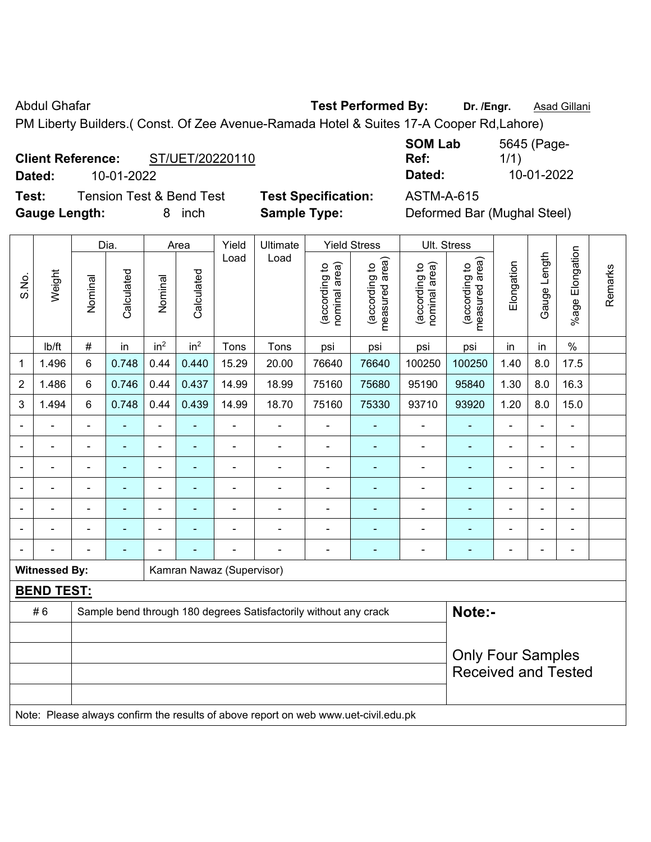Abdul Ghafar **Test Performed By:** Dr. /Engr. **Asad Gillani Abdul Ghafar** Asad Gillani

PM Liberty Builders.( Const. Of Zee Avenue-Ramada Hotel & Suites 17-A Cooper Rd,Lahore)

## **Client Reference:** ST/UET/20220110

**Dated:** 10-01-2022 **Dated:** 10-01-2022

**Test:** Tension Test & Bend Test **Test Specification:** ASTM-A-615 **Gauge Length:** 8 inch **Sample Type:** Deformed Bar (Mughal Steel)

| <b>SOM Lab</b> | 5645 (Page- |
|----------------|-------------|
| Ref:           | 1/1)        |
| Dated:         | 10-01-2022  |

|                |                      |                                                                                     | Dia.                     |                 | Area            |                           | Ultimate                                                         | <b>Yield Stress</b>            |                                 |                                | Ult. Stress                     |                          |                |                 |         |
|----------------|----------------------|-------------------------------------------------------------------------------------|--------------------------|-----------------|-----------------|---------------------------|------------------------------------------------------------------|--------------------------------|---------------------------------|--------------------------------|---------------------------------|--------------------------|----------------|-----------------|---------|
| S.No.          | Weight               | Nominal                                                                             | Calculated               | Nominal         | Calculated      | Load                      | Load                                                             | nominal area)<br>(according to | measured area)<br>(according to | nominal area)<br>(according to | measured area)<br>(according to | Elongation               | Gauge Length   | %age Elongation | Remarks |
|                | Ib/ft                | #                                                                                   | in                       | in <sup>2</sup> | in <sup>2</sup> | Tons                      | Tons                                                             | psi                            | psi                             | psi                            | psi                             | in                       | in             | $\frac{0}{0}$   |         |
| $\mathbf 1$    | 1.496                | 6                                                                                   | 0.748                    | 0.44            | 0.440           | 15.29                     | 20.00                                                            | 76640                          | 76640                           | 100250                         | 100250                          | 1.40                     | 8.0            | 17.5            |         |
| $\overline{2}$ | 1.486                | 6                                                                                   | 0.746                    | 0.44            | 0.437           | 14.99                     | 18.99                                                            | 75160                          | 75680                           | 95190                          | 95840                           | 1.30                     | 8.0            | 16.3            |         |
| 3              | 1.494                | 6                                                                                   | 0.748                    | 0.44            | 0.439           | 14.99                     | 18.70                                                            | 75160                          | 75330                           | 93710                          | 93920                           | 1.20                     | 8.0            | 15.0            |         |
|                |                      |                                                                                     |                          | ä,              | ÷               |                           |                                                                  | $\blacksquare$                 |                                 | $\blacksquare$                 |                                 |                          | $\blacksquare$ | $\blacksquare$  |         |
| $\blacksquare$ |                      |                                                                                     | ÷                        |                 | ٠               | $\blacksquare$            | ÷                                                                | $\blacksquare$                 | ٠                               |                                | ÷                               | ÷                        | $\blacksquare$ | $\blacksquare$  |         |
|                |                      | $\blacksquare$                                                                      | $\blacksquare$           | $\blacksquare$  | ۰               | -                         | ÷                                                                | $\blacksquare$                 | ÷                               |                                | $\blacksquare$                  | $\blacksquare$           | $\blacksquare$ | ä,              |         |
| $\blacksquare$ |                      | $\blacksquare$                                                                      | ÷                        | $\blacksquare$  | ۰               | $\overline{a}$            | $\overline{\phantom{a}}$                                         | $\blacksquare$                 | ÷                               |                                | $\overline{\phantom{a}}$        | ÷                        | $\blacksquare$ | $\blacksquare$  |         |
|                |                      | $\blacksquare$                                                                      | $\blacksquare$           | $\blacksquare$  | ۰               | $\blacksquare$            | $\blacksquare$                                                   | $\blacksquare$                 | ۰                               | ä,                             | $\blacksquare$                  | ÷                        | $\blacksquare$ | ä,              |         |
|                |                      |                                                                                     | $\blacksquare$           | ä,              |                 |                           | $\blacksquare$                                                   | $\blacksquare$                 | ÷                               | ä,                             | ÷                               | $\blacksquare$           |                | $\blacksquare$  |         |
|                |                      |                                                                                     | $\overline{\phantom{0}}$ |                 |                 |                           |                                                                  |                                | ۰                               | $\blacksquare$                 |                                 | $\overline{\phantom{0}}$ | $\blacksquare$ | $\blacksquare$  |         |
|                | <b>Witnessed By:</b> |                                                                                     |                          |                 |                 | Kamran Nawaz (Supervisor) |                                                                  |                                |                                 |                                |                                 |                          |                |                 |         |
|                | <b>BEND TEST:</b>    |                                                                                     |                          |                 |                 |                           |                                                                  |                                |                                 |                                |                                 |                          |                |                 |         |
|                | #6                   |                                                                                     |                          |                 |                 |                           | Sample bend through 180 degrees Satisfactorily without any crack |                                |                                 |                                | Note:-                          |                          |                |                 |         |
|                |                      |                                                                                     |                          |                 |                 |                           |                                                                  |                                |                                 |                                |                                 |                          |                |                 |         |
|                |                      |                                                                                     |                          |                 |                 |                           |                                                                  | <b>Only Four Samples</b>       |                                 |                                |                                 |                          |                |                 |         |
|                |                      |                                                                                     |                          |                 |                 |                           |                                                                  |                                |                                 |                                | <b>Received and Tested</b>      |                          |                |                 |         |
|                |                      |                                                                                     |                          |                 |                 |                           |                                                                  |                                |                                 |                                |                                 |                          |                |                 |         |
|                |                      | Note: Please always confirm the results of above report on web www.uet-civil.edu.pk |                          |                 |                 |                           |                                                                  |                                |                                 |                                |                                 |                          |                |                 |         |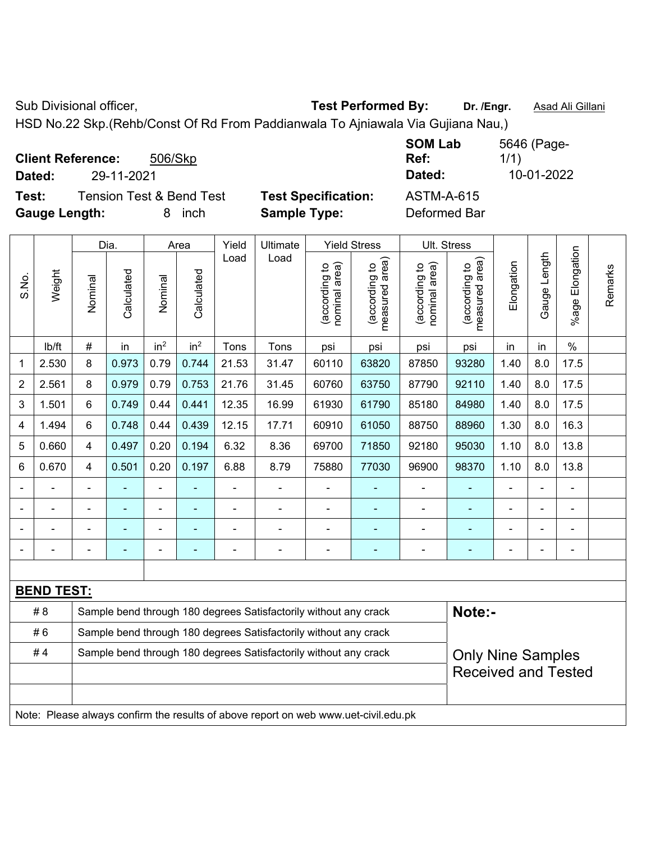Sub Divisional officer, **Test Performed By:** Dr. /Engr. **Asad Ali Gillani** Associated By: Dr. /Engr. **Asad Ali Gillani** 

HSD No.22 Skp.(Rehb/Const Of Rd From Paddianwala To Ajniawala Via Gujiana Nau,)

| <b>Client Reference:</b><br>506/Skp<br>29-11-2021<br>Dated: |                            | <b>SOM Lab</b><br>Ref:<br>Dated: | 5646 (Page-<br>1/1)<br>10-01-2022 |
|-------------------------------------------------------------|----------------------------|----------------------------------|-----------------------------------|
| Test:<br><b>Tension Test &amp; Bend Test</b>                | <b>Test Specification:</b> | <b>ASTM-A-615</b>                |                                   |
| <b>Gauge Length:</b><br>inch<br>8                           | <b>Sample Type:</b>        | Deformed Bar                     |                                   |

|                |                   |                                                                  | Dia.           |                 | Area                     | Yield | Ultimate                                                                            |                                | <b>Yield Stress</b>             | Ult. Stress                    |                                 |            |                |                          |         |
|----------------|-------------------|------------------------------------------------------------------|----------------|-----------------|--------------------------|-------|-------------------------------------------------------------------------------------|--------------------------------|---------------------------------|--------------------------------|---------------------------------|------------|----------------|--------------------------|---------|
| S.No.          | Weight            | Nominal                                                          | Calculated     | Nominal         | Calculated               | Load  | Load                                                                                | nominal area)<br>(according to | (according to<br>measured area) | nominal area)<br>(according to | (according to<br>measured area) | Elongation | Gauge Length   | Elongation<br>%age       | Remarks |
|                | lb/ft             | $\#$                                                             | in             | in <sup>2</sup> | in <sup>2</sup>          | Tons  | Tons                                                                                | psi                            | psi                             | psi                            | psi                             | in         | in             | $\%$                     |         |
| 1              | 2.530             | 8                                                                | 0.973          | 0.79            | 0.744                    | 21.53 | 31.47                                                                               | 60110                          | 63820                           | 87850                          | 93280                           | 1.40       | 8.0            | 17.5                     |         |
| $\overline{2}$ | 2.561             | 8                                                                | 0.979          | 0.79            | 0.753                    | 21.76 | 31.45                                                                               | 60760                          | 63750                           | 87790                          | 92110                           | 1.40       | 8.0            | 17.5                     |         |
| 3              | 1.501             | 6                                                                | 0.749          | 0.44            | 0.441                    | 12.35 | 16.99                                                                               | 61930                          | 61790                           | 85180                          | 84980                           | 1.40       | 8.0            | 17.5                     |         |
| 4              | 1.494             | 6                                                                | 0.748          | 0.44            | 0.439                    | 12.15 | 17.71                                                                               | 60910                          | 61050                           | 88750                          | 88960                           | 1.30       | 8.0            | 16.3                     |         |
| 5              | 0.660             | $\overline{4}$                                                   | 0.497          | 0.20            | 0.194                    | 6.32  | 8.36                                                                                | 69700                          | 71850                           | 92180                          | 95030                           | 1.10       | 8.0            | 13.8                     |         |
| 6              | 0.670             | $\overline{4}$                                                   | 0.501          | 0.20            | 0.197                    | 6.88  | 8.79                                                                                | 75880                          | 77030                           | 96900                          | 98370                           | 1.10       | 8.0            | 13.8                     |         |
|                |                   |                                                                  | $\blacksquare$ |                 |                          |       |                                                                                     |                                |                                 | $\blacksquare$                 |                                 |            |                | L,                       |         |
|                |                   |                                                                  |                |                 |                          |       |                                                                                     |                                |                                 |                                |                                 |            |                |                          |         |
|                |                   |                                                                  | ٠              | $\blacksquare$  |                          |       | $\blacksquare$                                                                      | $\blacksquare$                 | ٠                               | ۰                              | ۰                               |            | $\overline{a}$ | $\blacksquare$           |         |
|                |                   |                                                                  | $\blacksquare$ | $\blacksquare$  | $\overline{\phantom{a}}$ |       | $\blacksquare$                                                                      | $\blacksquare$                 | $\overline{a}$                  | ۰                              | ۰                               |            |                | $\overline{\phantom{a}}$ |         |
|                |                   |                                                                  |                |                 |                          |       |                                                                                     |                                |                                 |                                |                                 |            |                |                          |         |
|                | <b>BEND TEST:</b> |                                                                  |                |                 |                          |       |                                                                                     |                                |                                 |                                |                                 |            |                |                          |         |
|                | # 8               |                                                                  |                |                 |                          |       | Sample bend through 180 degrees Satisfactorily without any crack                    |                                |                                 |                                | Note:-                          |            |                |                          |         |
|                | #6                |                                                                  |                |                 |                          |       | Sample bend through 180 degrees Satisfactorily without any crack                    |                                |                                 |                                |                                 |            |                |                          |         |
|                | #4                | Sample bend through 180 degrees Satisfactorily without any crack |                |                 |                          |       |                                                                                     |                                |                                 |                                | <b>Only Nine Samples</b>        |            |                |                          |         |
|                |                   |                                                                  |                |                 |                          |       |                                                                                     |                                |                                 |                                | <b>Received and Tested</b>      |            |                |                          |         |
|                |                   |                                                                  |                |                 |                          |       |                                                                                     |                                |                                 |                                |                                 |            |                |                          |         |
|                |                   |                                                                  |                |                 |                          |       | Note: Please always confirm the results of above report on web www.uet-civil.edu.pk |                                |                                 |                                |                                 |            |                |                          |         |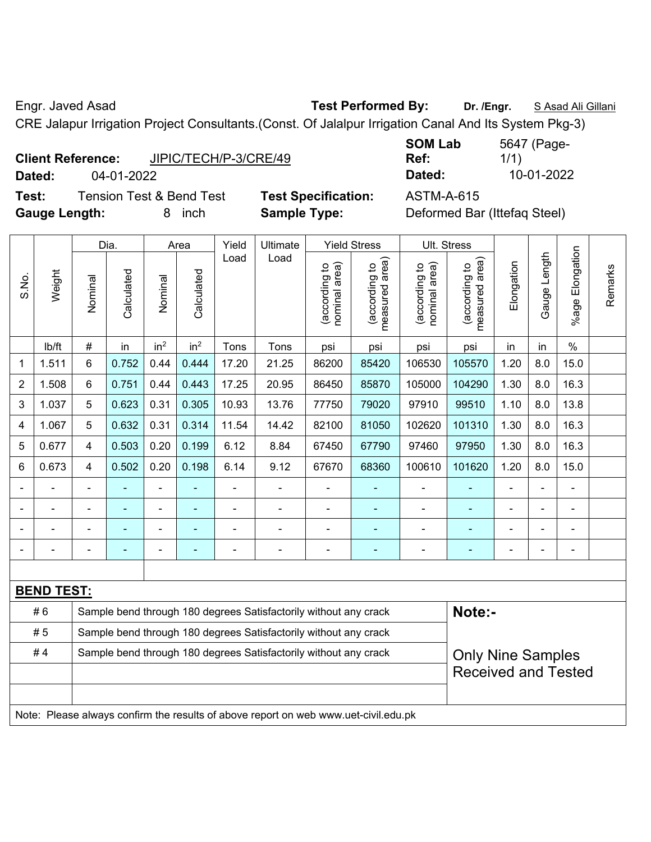Engr. Javed Asad **Test Performed By: Dr. /Engr.** S Asad Ali Gillani

CRE Jalapur Irrigation Project Consultants.(Const. Of Jalalpur Irrigation Canal And Its System Pkg-3)

| <b>Client Reference:</b> | JIPIC/TECH/P-3/CRE/49 |
|--------------------------|-----------------------|
|--------------------------|-----------------------|

**Test:** Tension Test & Bend Test **Test Specification:** ASTM-A-615 **Gauge Length:** 8 inch **Sample Type:** Deformed Bar (Ittefaq Steel)

**SOM Lab Ref:**  5647 (Page-1/1) **Dated:** 04-01-2022 **Dated:** 10-01-2022

|                          |                   |                                                                  | Dia.                                                             |                 | Area            | Yield                    | Ultimate                                                         |                                | <b>Yield Stress</b>             |                                | Ult. Stress                        |                              |                |                          |         |
|--------------------------|-------------------|------------------------------------------------------------------|------------------------------------------------------------------|-----------------|-----------------|--------------------------|------------------------------------------------------------------|--------------------------------|---------------------------------|--------------------------------|------------------------------------|------------------------------|----------------|--------------------------|---------|
| S.No.                    | Weight            | Nominal                                                          | Calculated                                                       | Nominal         | Calculated      | Load                     | Load                                                             | nominal area)<br>(according to | measured area)<br>(according to | nominal area)<br>(according to | area)<br>(according to<br>measured | Elongation                   | Gauge Length   | %age Elongation          | Remarks |
|                          | lb/ft             | $\#$                                                             | in                                                               | in <sup>2</sup> | in <sup>2</sup> | Tons                     | Tons                                                             | psi                            | psi                             | psi                            | psi                                | in                           | in             | $\%$                     |         |
| $\mathbf 1$              | 1.511             | 6                                                                | 0.752                                                            | 0.44            | 0.444           | 17.20                    | 21.25                                                            | 86200                          | 85420                           | 106530                         | 105570                             | 1.20                         | 8.0            | 15.0                     |         |
| $\overline{c}$           | 1.508             | 6                                                                | 0.751                                                            | 0.44            | 0.443           | 17.25                    | 20.95                                                            | 86450                          | 85870                           | 105000                         | 104290                             | 1.30                         | 8.0            | 16.3                     |         |
| 3                        | 1.037             | 5                                                                | 0.623                                                            | 0.31            | 0.305           | 10.93                    | 13.76                                                            | 77750                          | 79020                           | 97910                          | 99510                              | 1.10                         | 8.0            | 13.8                     |         |
| 4                        | 1.067             | 5                                                                | 0.632                                                            | 0.31            | 0.314           | 11.54                    | 14.42                                                            | 82100                          | 81050                           | 102620                         | 101310                             | 1.30                         | 8.0            | 16.3                     |         |
| 5                        | 0.677             | 4                                                                | 0.503                                                            | 0.20            | 0.199           | 6.12                     | 8.84                                                             | 67450                          | 67790                           | 97460                          | 97950                              | 1.30                         | 8.0            | 16.3                     |         |
| 6                        | 0.673             | 4                                                                | 0.502                                                            | 0.20            | 0.198           | 6.14                     | 9.12                                                             | 67670                          | 68360                           | 100610                         | 101620                             | 1.20                         | 8.0            | 15.0                     |         |
|                          |                   |                                                                  |                                                                  |                 |                 |                          |                                                                  |                                |                                 |                                |                                    |                              |                |                          |         |
| $\overline{\phantom{a}}$ |                   |                                                                  | -                                                                | $\overline{a}$  | ۰               | $\blacksquare$           |                                                                  | $\qquad \qquad \blacksquare$   |                                 |                                |                                    | $\qquad \qquad \blacksquare$ | $\overline{a}$ | $\blacksquare$           |         |
| $\blacksquare$           | -                 | $\overline{a}$                                                   | $\overline{\phantom{0}}$                                         | $\overline{a}$  | ۰               | $\blacksquare$           | $\overline{\phantom{0}}$                                         | $\qquad \qquad \blacksquare$   |                                 | $\overline{a}$                 | ٠                                  | ۰                            | $\overline{a}$ | $\overline{\phantom{0}}$ |         |
|                          |                   | $\overline{a}$                                                   |                                                                  | $\overline{a}$  | ۰               | $\overline{\phantom{0}}$ | ۰                                                                | $\qquad \qquad \blacksquare$   | $\overline{a}$                  | $\overline{a}$                 | $\overline{a}$                     | ۰                            | ۰              | $\blacksquare$           |         |
|                          |                   |                                                                  |                                                                  |                 |                 |                          |                                                                  |                                |                                 |                                |                                    |                              |                |                          |         |
|                          | <b>BEND TEST:</b> |                                                                  |                                                                  |                 |                 |                          |                                                                  |                                |                                 |                                |                                    |                              |                |                          |         |
|                          | #6                |                                                                  |                                                                  |                 |                 |                          | Sample bend through 180 degrees Satisfactorily without any crack |                                |                                 |                                | Note:-                             |                              |                |                          |         |
|                          | # 5               |                                                                  | Sample bend through 180 degrees Satisfactorily without any crack |                 |                 |                          |                                                                  |                                |                                 |                                |                                    |                              |                |                          |         |
|                          | #4                | Sample bend through 180 degrees Satisfactorily without any crack |                                                                  |                 |                 |                          |                                                                  |                                |                                 |                                |                                    | <b>Only Nine Samples</b>     |                |                          |         |
|                          |                   |                                                                  |                                                                  |                 |                 |                          | <b>Received and Tested</b>                                       |                                |                                 |                                |                                    |                              |                |                          |         |
|                          |                   |                                                                  |                                                                  |                 |                 |                          |                                                                  |                                |                                 |                                |                                    |                              |                |                          |         |

Note: Please always confirm the results of above report on web www.uet-civil.edu.pk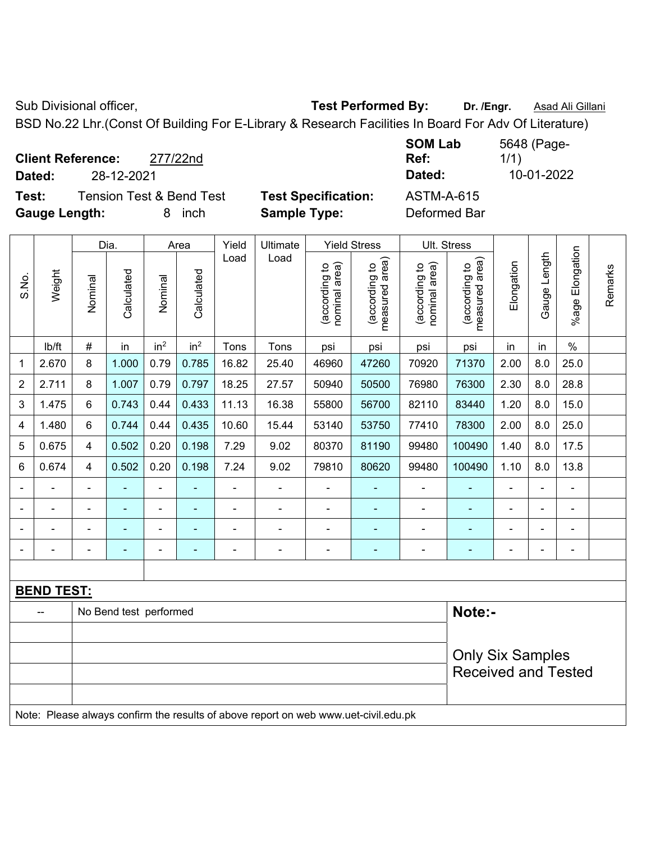Sub Divisional officer, **Test Performed By:** Dr. /Engr. **Asad Ali Gillani** Associated By: Dr. /Engr. **Asad Ali Gillani** 

BSD No.22 Lhr.(Const Of Building For E-Library & Research Facilities In Board For Adv Of Literature)

| <b>Client Reference:</b><br>277/22nd<br>28-12-2021<br>Dated:                      |                                                   | <b>SOM Lab</b><br>Ref:<br>Dated:  | 5648 (Page-<br>1/1)<br>10-01-2022 |
|-----------------------------------------------------------------------------------|---------------------------------------------------|-----------------------------------|-----------------------------------|
| <b>Tension Test &amp; Bend Test</b><br>Test:<br><b>Gauge Length:</b><br>inch<br>8 | <b>Test Specification:</b><br><b>Sample Type:</b> | <b>ASTM-A-615</b><br>Deformed Bar |                                   |

|                |                   |                                                                                     | Dia.                   |                          | Area            | Yield          | Ultimate                   |                                | <b>Yield Stress</b>             |                                | Ult. Stress                     |            |                          |                         |         |
|----------------|-------------------|-------------------------------------------------------------------------------------|------------------------|--------------------------|-----------------|----------------|----------------------------|--------------------------------|---------------------------------|--------------------------------|---------------------------------|------------|--------------------------|-------------------------|---------|
| S.No.          | Weight            | Nominal                                                                             | Calculated             | Nominal                  | Calculated      | Load           | Load                       | nominal area)<br>(according to | (according to<br>measured area) | nominal area)<br>(according to | measured area)<br>(according to | Elongation | Gauge Length             | Elongation<br>$%$ age l | Remarks |
|                | lb/ft             | $\#$                                                                                | in                     | in <sup>2</sup>          | in <sup>2</sup> | Tons           | Tons                       | psi                            | psi                             | psi                            | psi                             | in         | in                       | $\%$                    |         |
| 1              | 2.670             | 8                                                                                   | 1.000                  | 0.79                     | 0.785           | 16.82          | 25.40                      | 46960                          | 47260                           | 70920                          | 71370                           | 2.00       | 8.0                      | 25.0                    |         |
| $\overline{2}$ | 2.711             | 8                                                                                   | 1.007                  | 0.79                     | 0.797           | 18.25          | 27.57                      | 50940                          | 50500                           | 76980                          | 76300                           | 2.30       | 8.0                      | 28.8                    |         |
| 3              | 1.475             | 6                                                                                   | 0.743                  | 0.44                     | 0.433           | 11.13          | 16.38                      | 55800                          | 56700                           | 82110                          | 83440                           | 1.20       | 8.0                      | 15.0                    |         |
| 4              | 1.480             | 6                                                                                   | 0.744                  | 0.44                     | 0.435           | 10.60          | 15.44                      | 53140                          | 53750                           | 77410                          | 78300                           | 2.00       | 8.0                      | 25.0                    |         |
| 5              | 0.675             | 4                                                                                   | 0.502                  | 0.20                     | 0.198           | 7.29           | 9.02                       | 80370                          | 81190                           | 99480                          | 100490                          | 1.40       | 8.0                      | 17.5                    |         |
| 6              | 0.674             | 4                                                                                   | 0.502                  | 0.20                     | 0.198           | 7.24           | 9.02                       | 79810                          | 80620                           | 99480                          | 100490                          | 1.10       | 8.0                      | 13.8                    |         |
|                | ÷                 |                                                                                     | $\blacksquare$         | $\blacksquare$           |                 | $\blacksquare$ | $\blacksquare$             | $\blacksquare$                 | $\blacksquare$                  | $\overline{\phantom{0}}$       | ÷                               |            |                          | ÷.                      |         |
|                |                   |                                                                                     | $\blacksquare$         | $\overline{\phantom{a}}$ |                 | $\blacksquare$ |                            | $\blacksquare$                 |                                 | ÷,                             | ä,                              |            |                          | ÷.                      |         |
|                |                   |                                                                                     | $\blacksquare$         | $\blacksquare$           |                 |                |                            | $\blacksquare$                 | $\blacksquare$                  | $\blacksquare$                 | $\blacksquare$                  |            |                          | $\blacksquare$          |         |
|                |                   |                                                                                     |                        |                          |                 |                |                            |                                |                                 |                                |                                 |            | $\overline{\phantom{0}}$ | $\blacksquare$          |         |
|                |                   |                                                                                     |                        |                          |                 |                |                            |                                |                                 |                                |                                 |            |                          |                         |         |
|                | <b>BEND TEST:</b> |                                                                                     |                        |                          |                 |                |                            |                                |                                 |                                |                                 |            |                          |                         |         |
|                | --                |                                                                                     | No Bend test performed |                          |                 |                |                            |                                |                                 |                                | Note:-                          |            |                          |                         |         |
|                |                   |                                                                                     |                        |                          |                 |                |                            |                                |                                 |                                |                                 |            |                          |                         |         |
|                |                   |                                                                                     |                        |                          |                 |                |                            | <b>Only Six Samples</b>        |                                 |                                |                                 |            |                          |                         |         |
|                |                   |                                                                                     |                        |                          |                 |                | <b>Received and Tested</b> |                                |                                 |                                |                                 |            |                          |                         |         |
|                |                   | Note: Please always confirm the results of above report on web www.uet-civil.edu.pk |                        |                          |                 |                |                            |                                |                                 |                                |                                 |            |                          |                         |         |